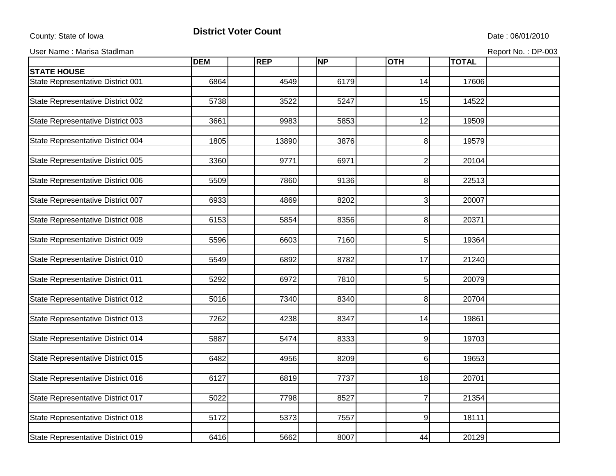## County: State of Iowa **District Voter Count** Description of the United State : 06/01/2010

User Name : Marisa Stadlman Report No. : DP-003

|                                   | <b>DEM</b> | <b>REP</b> | <b>NP</b> | <b>OTH</b>              | <b>TOTAL</b> |  |
|-----------------------------------|------------|------------|-----------|-------------------------|--------------|--|
| <b>STATE HOUSE</b>                |            |            |           |                         |              |  |
| State Representative District 001 | 6864       | 4549       | 6179      | 14                      | 17606        |  |
|                                   |            |            |           |                         |              |  |
| State Representative District 002 | 5738       | 3522       | 5247      | 15                      | 14522        |  |
|                                   |            |            |           |                         |              |  |
| State Representative District 003 | 3661       | 9983       | 5853      | 12                      | 19509        |  |
|                                   |            |            |           |                         |              |  |
| State Representative District 004 | 1805       | 13890      | 3876      | 8 <sup>1</sup>          | 19579        |  |
|                                   |            |            |           |                         |              |  |
| State Representative District 005 | 3360       | 9771       | 6971      | $\overline{\mathbf{c}}$ | 20104        |  |
|                                   |            |            |           |                         |              |  |
| State Representative District 006 | 5509       | 7860       | 9136      | 8                       | 22513        |  |
|                                   |            |            |           |                         |              |  |
| State Representative District 007 | 6933       | 4869       | 8202      | $\overline{3}$          | 20007        |  |
|                                   |            |            |           |                         |              |  |
| State Representative District 008 | 6153       | 5854       | 8356      | 8 <sup>1</sup>          | 20371        |  |
|                                   |            |            |           |                         |              |  |
| State Representative District 009 | 5596       | 6603       | 7160      | 5 <sup>1</sup>          | 19364        |  |
|                                   |            |            |           |                         |              |  |
| State Representative District 010 | 5549       | 6892       | 8782      | 17                      | 21240        |  |
|                                   |            |            |           |                         |              |  |
| State Representative District 011 | 5292       | 6972       | 7810      | 5                       | 20079        |  |
|                                   |            |            |           |                         |              |  |
| State Representative District 012 | 5016       | 7340       | 8340      | 8 <sup>1</sup>          | 20704        |  |
|                                   |            |            |           |                         |              |  |
| State Representative District 013 | 7262       | 4238       | 8347      | 14                      | 19861        |  |
|                                   |            |            |           |                         |              |  |
| State Representative District 014 | 5887       | 5474       | 8333      | 9                       | 19703        |  |
|                                   |            |            |           |                         |              |  |
| State Representative District 015 | 6482       | 4956       | 8209      | 6 <sup>1</sup>          | 19653        |  |
|                                   |            |            |           |                         |              |  |
| State Representative District 016 | 6127       | 6819       | 7737      | 18                      | 20701        |  |
|                                   |            |            |           |                         |              |  |
| State Representative District 017 | 5022       | 7798       | 8527      | $\overline{7}$          | 21354        |  |
|                                   |            |            |           |                         |              |  |
| State Representative District 018 | 5172       | 5373       | 7557      | 9                       | 18111        |  |
|                                   |            |            |           |                         |              |  |
| State Representative District 019 | 6416       | 5662       | 8007      | 44                      | 20129        |  |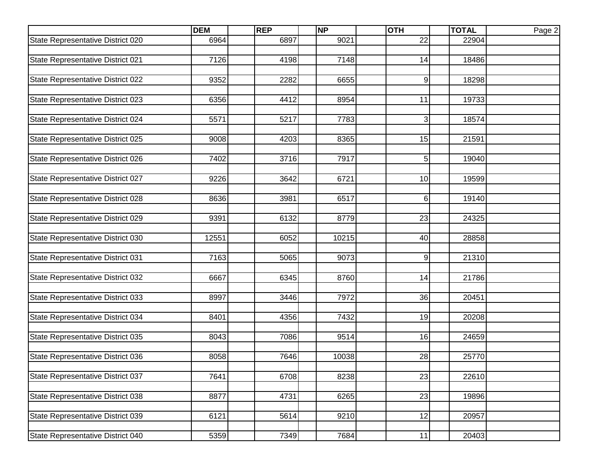|                                   | <b>DEM</b> | <b>REP</b> | <b>NP</b> | <b>OTH</b>     | <b>TOTAL</b> | Page 2 |
|-----------------------------------|------------|------------|-----------|----------------|--------------|--------|
| State Representative District 020 | 6964       | 6897       | 9021      | 22             | 22904        |        |
|                                   |            |            |           |                |              |        |
| State Representative District 021 | 7126       | 4198       | 7148      | 14             | 18486        |        |
|                                   |            |            |           |                |              |        |
| State Representative District 022 | 9352       | 2282       | 6655      | 9              | 18298        |        |
|                                   |            |            |           |                |              |        |
| State Representative District 023 | 6356       | 4412       | 8954      | 11             | 19733        |        |
|                                   |            |            |           |                |              |        |
| State Representative District 024 | 5571       | 5217       | 7783      | $\mathbf{3}$   | 18574        |        |
| State Representative District 025 | 9008       | 4203       | 8365      | 15             | 21591        |        |
|                                   |            |            |           |                |              |        |
| State Representative District 026 | 7402       | 3716       | 7917      | 5 <sup>1</sup> | 19040        |        |
|                                   |            |            |           |                |              |        |
| State Representative District 027 | 9226       | 3642       | 6721      | 10             | 19599        |        |
|                                   |            |            |           |                |              |        |
| State Representative District 028 | 8636       | 3981       | 6517      | 6              | 19140        |        |
|                                   |            |            |           |                |              |        |
| State Representative District 029 | 9391       | 6132       | 8779      | 23             | 24325        |        |
|                                   |            |            |           |                |              |        |
| State Representative District 030 | 12551      | 6052       | 10215     | 40             | 28858        |        |
|                                   |            |            |           |                |              |        |
| State Representative District 031 | 7163       | 5065       | 9073      | 9              | 21310        |        |
|                                   |            |            |           |                |              |        |
| State Representative District 032 | 6667       | 6345       | 8760      | 14             | 21786        |        |
|                                   |            |            |           |                |              |        |
| State Representative District 033 | 8997       | 3446       | 7972      | 36             | 20451        |        |
| State Representative District 034 | 8401       | 4356       | 7432      | 19             | 20208        |        |
|                                   |            |            |           |                |              |        |
| State Representative District 035 | 8043       | 7086       | 9514      | 16             | 24659        |        |
|                                   |            |            |           |                |              |        |
| State Representative District 036 | 8058       | 7646       | 10038     | 28             | 25770        |        |
|                                   |            |            |           |                |              |        |
| State Representative District 037 | 7641       | 6708       | 8238      | 23             | 22610        |        |
|                                   |            |            |           |                |              |        |
| State Representative District 038 | 8877       | 4731       | 6265      | 23             | 19896        |        |
|                                   |            |            |           |                |              |        |
| State Representative District 039 | 6121       | 5614       | 9210      | 12             | 20957        |        |
|                                   |            |            |           |                |              |        |
| State Representative District 040 | 5359       | 7349       | 7684      | 11             | 20403        |        |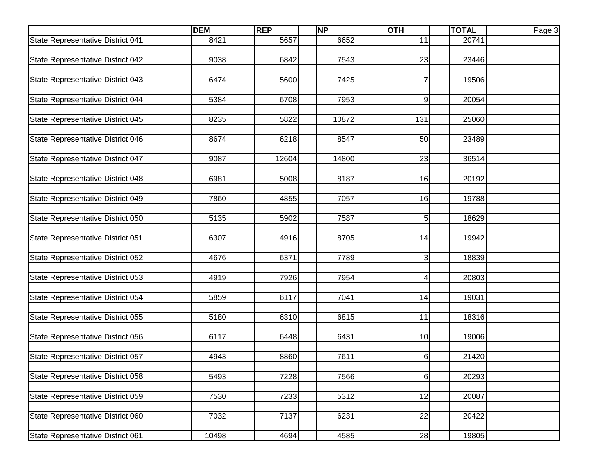|                                   | <b>DEM</b> | <b>REP</b> | <b>NP</b> | <b>OTH</b>     | <b>TOTAL</b> | Page 3 |
|-----------------------------------|------------|------------|-----------|----------------|--------------|--------|
| State Representative District 041 | 8421       | 5657       | 6652      | 11             | 20741        |        |
|                                   |            |            |           |                |              |        |
| State Representative District 042 | 9038       | 6842       | 7543      | 23             | 23446        |        |
|                                   |            |            |           |                |              |        |
| State Representative District 043 | 6474       | 5600       | 7425      | 7              | 19506        |        |
|                                   |            |            |           |                |              |        |
| State Representative District 044 | 5384       | 6708       | 7953      | 9              | 20054        |        |
|                                   |            |            |           |                |              |        |
| State Representative District 045 | 8235       | 5822       | 10872     | 131            | 25060        |        |
| State Representative District 046 | 8674       | 6218       | 8547      | 50             | 23489        |        |
|                                   |            |            |           |                |              |        |
| State Representative District 047 | 9087       | 12604      | 14800     | 23             | 36514        |        |
|                                   |            |            |           |                |              |        |
| State Representative District 048 | 6981       | 5008       | 8187      | 16             | 20192        |        |
|                                   |            |            |           |                |              |        |
| State Representative District 049 | 7860       | 4855       | 7057      | 16             | 19788        |        |
|                                   |            |            |           |                |              |        |
| State Representative District 050 | 5135       | 5902       | 7587      | 5 <sup>1</sup> | 18629        |        |
|                                   |            |            |           |                |              |        |
| State Representative District 051 | 6307       | 4916       | 8705      | 14             | 19942        |        |
|                                   |            |            |           |                |              |        |
| State Representative District 052 | 4676       | 6371       | 7789      | 3              | 18839        |        |
|                                   |            |            |           |                |              |        |
| State Representative District 053 | 4919       | 7926       | 7954      | 4              | 20803        |        |
|                                   |            |            |           |                |              |        |
| State Representative District 054 | 5859       | 6117       | 7041      | 14             | 19031        |        |
| State Representative District 055 | 5180       | 6310       | 6815      | 11             | 18316        |        |
|                                   |            |            |           |                |              |        |
| State Representative District 056 | 6117       | 6448       | 6431      | 10             | 19006        |        |
|                                   |            |            |           |                |              |        |
| State Representative District 057 | 4943       | 8860       | 7611      | 6              | 21420        |        |
|                                   |            |            |           |                |              |        |
| State Representative District 058 | 5493       | 7228       | 7566      | 6              | 20293        |        |
|                                   |            |            |           |                |              |        |
| State Representative District 059 | 7530       | 7233       | 5312      | 12             | 20087        |        |
|                                   |            |            |           |                |              |        |
| State Representative District 060 | 7032       | 7137       | 6231      | 22             | 20422        |        |
|                                   |            |            |           |                |              |        |
| State Representative District 061 | 10498      | 4694       | 4585      | 28             | 19805        |        |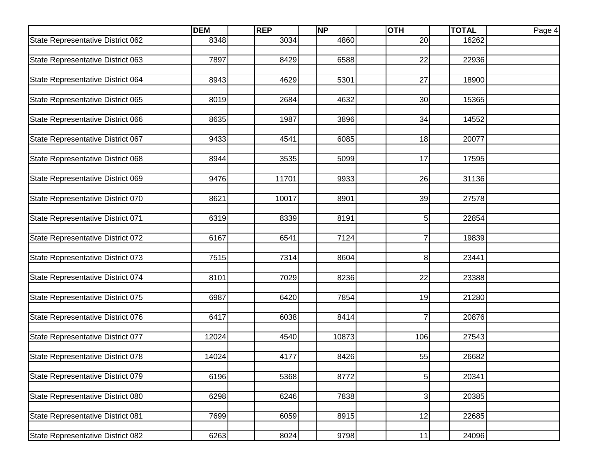|                                   | <b>DEM</b> | <b>REP</b> | <b>NP</b> | <b>OTH</b>     | <b>TOTAL</b> | Page 4 |
|-----------------------------------|------------|------------|-----------|----------------|--------------|--------|
| State Representative District 062 | 8348       | 3034       | 4860      | 20             | 16262        |        |
|                                   |            |            |           |                |              |        |
| State Representative District 063 | 7897       | 8429       | 6588      | 22             | 22936        |        |
|                                   |            |            |           |                |              |        |
| State Representative District 064 | 8943       | 4629       | 5301      | 27             | 18900        |        |
|                                   |            |            |           |                |              |        |
| State Representative District 065 | 8019       | 2684       | 4632      | 30             | 15365        |        |
|                                   |            |            |           |                |              |        |
| State Representative District 066 | 8635       | 1987       | 3896      | 34             | 14552        |        |
| State Representative District 067 | 9433       | 4541       | 6085      | 18             | 20077        |        |
|                                   |            |            |           |                |              |        |
| State Representative District 068 | 8944       | 3535       | 5099      | 17             | 17595        |        |
|                                   |            |            |           |                |              |        |
| State Representative District 069 | 9476       | 11701      | 9933      | 26             | 31136        |        |
|                                   |            |            |           |                |              |        |
| State Representative District 070 | 8621       | 10017      | 8901      | 39             | 27578        |        |
|                                   |            |            |           |                |              |        |
| State Representative District 071 | 6319       | 8339       | 8191      | 5 <sup>1</sup> | 22854        |        |
|                                   |            |            |           |                |              |        |
| State Representative District 072 | 6167       | 6541       | 7124      | $\overline{7}$ | 19839        |        |
|                                   |            |            |           |                |              |        |
| State Representative District 073 | 7515       | 7314       | 8604      | 8              | 23441        |        |
|                                   |            |            |           |                |              |        |
| State Representative District 074 | 8101       | 7029       | 8236      | 22             | 23388        |        |
|                                   |            |            |           |                |              |        |
| State Representative District 075 | 6987       | 6420       | 7854      | 19             | 21280        |        |
| State Representative District 076 | 6417       | 6038       | 8414      | $\overline{7}$ | 20876        |        |
|                                   |            |            |           |                |              |        |
| State Representative District 077 | 12024      | 4540       | 10873     | 106            | 27543        |        |
|                                   |            |            |           |                |              |        |
| State Representative District 078 | 14024      | 4177       | 8426      | 55             | 26682        |        |
|                                   |            |            |           |                |              |        |
| State Representative District 079 | 6196       | 5368       | 8772      | 5              | 20341        |        |
|                                   |            |            |           |                |              |        |
| State Representative District 080 | 6298       | 6246       | 7838      | 3              | 20385        |        |
|                                   |            |            |           |                |              |        |
| State Representative District 081 | 7699       | 6059       | 8915      | 12             | 22685        |        |
|                                   |            |            |           |                |              |        |
| State Representative District 082 | 6263       | 8024       | 9798      | 11             | 24096        |        |